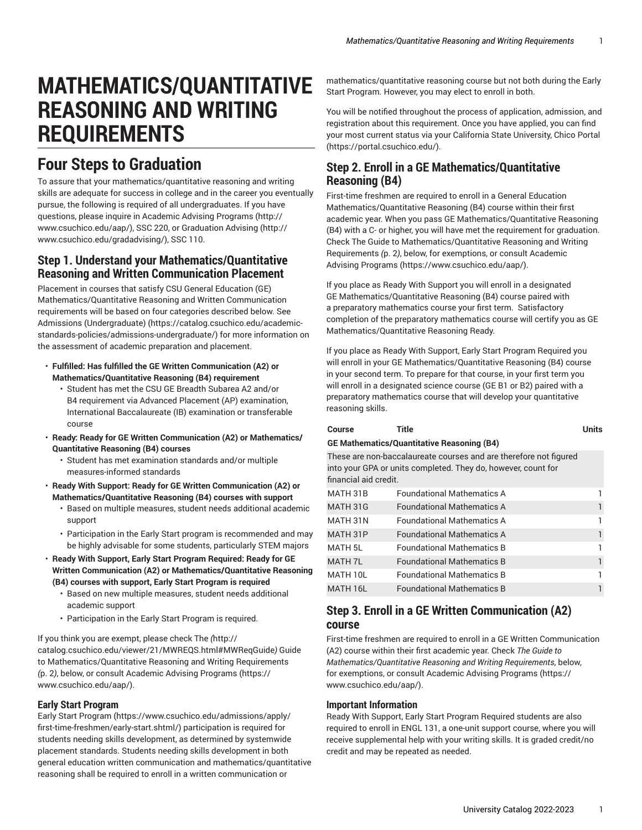# **MATHEMATICS/QUANTITATIVE REASONING AND WRITING REQUIREMENTS**

# **Four Steps to Graduation**

To assure that your mathematics/quantitative reasoning and writing skills are adequate for success in college and in the career you eventually pursue, the following is required of all undergraduates. If you have questions, please inquire in Academic Advising [Programs \(http://](http://www.csuchico.edu/aap/) [www.csuchico.edu/aap/\)](http://www.csuchico.edu/aap/), SSC 220, or [Graduation Advising](http://www.csuchico.edu/gradadvising/) ([http://](http://www.csuchico.edu/gradadvising/) [www.csuchico.edu/gradadvising/\)](http://www.csuchico.edu/gradadvising/), SSC 110.

### **Step 1. Understand your Mathematics/Quantitative Reasoning and Written Communication Placement**

Placement in courses that satisfy CSU General Education (GE) Mathematics/Quantitative Reasoning and Written Communication requirements will be based on four categories described below. See Admissions [\(Undergraduate\)](https://catalog.csuchico.edu/academic-standards-policies/admissions-undergraduate/) ([https://catalog.csuchico.edu/academic](https://catalog.csuchico.edu/academic-standards-policies/admissions-undergraduate/)[standards-policies/admissions-undergraduate/](https://catalog.csuchico.edu/academic-standards-policies/admissions-undergraduate/)) for more information on the assessment of academic preparation and placement.

- **Fulfilled: Has fulfilled the GE Written Communication (A2) or Mathematics/Quantitative Reasoning (B4) requirement**
	- Student has met the CSU GE Breadth Subarea A2 and/or B4 requirement via Advanced Placement (AP) examination, International Baccalaureate (IB) examination or transferable course
- **Ready: Ready for GE Written Communication (A2) or Mathematics/ Quantitative Reasoning (B4) courses**
	- Student has met examination standards and/or multiple measures-informed standards
- **Ready With Support: Ready for GE Written Communication (A2) or Mathematics/Quantitative Reasoning (B4) courses with support**
	- Based on multiple measures, student needs additional academic support
	- Participation in the Early Start program is recommended and may be highly advisable for some students, particularly STEM majors
- **Ready With Support, Early Start Program Required: Ready for GE Written Communication (A2) or Mathematics/Quantitative Reasoning (B4) courses with support, Early Start Program is required**
	- Based on new multiple measures, student needs additional academic support
	- Participation in the Early Start Program is required.

If you think you are exempt, please check [The](http://catalog.csuchico.edu/viewer/21/MWREQS.html#MWReqGuide) *(*[http://](http://catalog.csuchico.edu/viewer/21/MWREQS.html#MWReqGuide) [catalog.csuchico.edu/viewer/21/MWREQS.html#MWReqGuide](http://catalog.csuchico.edu/viewer/21/MWREQS.html#MWReqGuide)*)* [Guide](#page-1-0) to [Mathematics/Quantitative](#page-1-0) Reasoning and Writing Requirements *(*[p. 2](#page-1-0)*)*, below, or consult [Academic](https://www.csuchico.edu/aap/) Advising Programs ([https://](https://www.csuchico.edu/aap/) [www.csuchico.edu/aap/\)](https://www.csuchico.edu/aap/).

#### **Early Start Program**

Early Start [Program](https://www.csuchico.edu/admissions/apply/first-time-freshmen/early-start.shtml/) [\(https://www.csuchico.edu/admissions/apply/](https://www.csuchico.edu/admissions/apply/first-time-freshmen/early-start.shtml/) [first-time-freshmen/early-start.shtml/](https://www.csuchico.edu/admissions/apply/first-time-freshmen/early-start.shtml/)) participation is required for students needing skills development, as determined by systemwide placement standards. Students needing skills development in both general education written communication and mathematics/quantitative reasoning shall be required to enroll in a written communication or

mathematics/quantitative reasoning course but not both during the Early Start Program. However, you may elect to enroll in both.

You will be notified throughout the process of application, admission, and registration about this requirement. Once you have applied, you can find your most current status via your California State University, Chico [Portal](https://portal.csuchico.edu/) [\(https://portal.csuchico.edu/\)](https://portal.csuchico.edu/).

## **Step 2. Enroll in a GE Mathematics/Quantitative Reasoning (B4)**

First-time freshmen are required to enroll in a General Education Mathematics/Quantitative Reasoning (B4) course within their first academic year. When you pass GE Mathematics/Quantitative Reasoning (B4) with a C- or higher, you will have met the requirement for graduation. Check The Guide to [Mathematics/Quantitative](#page-1-0) Reasoning and Writing [Requirements](#page-1-0) *(*[p. 2](#page-1-0)*)*, below, for exemptions, or consult [Academic](https://www.csuchico.edu/aap/) Advising [Programs \(https://www.csuchico.edu/aap/](https://www.csuchico.edu/aap/)).

If you place as Ready With Support you will enroll in a designated GE Mathematics/Quantitative Reasoning (B4) course paired with a preparatory mathematics course your first term. Satisfactory completion of the preparatory mathematics course will certify you as GE Mathematics/Quantitative Reasoning Ready.

If you place as Ready With Support, Early Start Program Required you will enroll in your GE Mathematics/Quantitative Reasoning (B4) course in your second term. To prepare for that course, in your first term you will enroll in a designated science course (GE B1 or B2) paired with a preparatory mathematics course that will develop your quantitative reasoning skills.

#### **Course Title Units GE Mathematics/Quantitative Reasoning (B4)** These are non-baccalaureate courses and are therefore not figured into your GPA or units completed. They do, however, count for financial aid credit. MATH 31B Foundational Mathematics A 1 MATH 31G Foundational Mathematics A 1 MATH 31N Foundational Mathematics A 1 MATH 31P Foundational Mathematics A 1 MATH 5L Foundational Mathematics B 1 MATH 7L Foundational Mathematics B 1

## **Step 3. Enroll in a GE Written Communication (A2) course**

First-time freshmen are required to enroll in a GE Written Communication (A2) course within their first academic year. Check *The Guide to Mathematics/Quantitative Reasoning and Writing Requirements*, below, for exemptions, or consult [Academic](https://www.csuchico.edu/aap/) Advising Programs ([https://](https://www.csuchico.edu/aap/) [www.csuchico.edu/aap/](https://www.csuchico.edu/aap/)).

MATH 10L Foundational Mathematics B 1 MATH 16L Foundational Mathematics B 1

#### **Important Information**

Ready With Support, Early Start Program Required students are also required to enroll in ENGL 131, a one-unit support course, where you will receive supplemental help with your writing skills. It is graded credit/no credit and may be repeated as needed.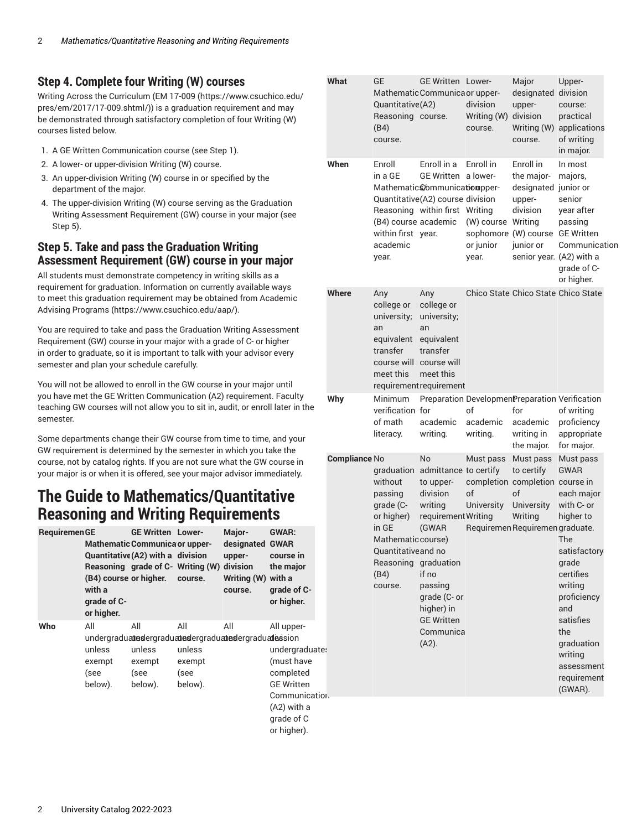### **Step 4. Complete four Writing (W) courses**

Writing Across the Curriculum [\(EM 17-009](https://www.csuchico.edu/pres/em/2017/17-009.shtml/) [\(https://www.csuchico.edu/](https://www.csuchico.edu/pres/em/2017/17-009.shtml/) [pres/em/2017/17-009.shtml/](https://www.csuchico.edu/pres/em/2017/17-009.shtml/))) is a graduation requirement and may be demonstrated through satisfactory completion of four Writing (W) courses listed below.

- 1. A GE Written Communication course (see Step 1).
- 2. A lower- or upper-division Writing (W) course.
- 3. An upper-division Writing (W) course in or specified by the department of the major.
- 4. The upper-division Writing (W) course serving as the Graduation Writing Assessment Requirement (GW) course in your major (see Step 5).

#### **Step 5. Take and pass the Graduation Writing Assessment Requirement (GW) course in your major**

All students must demonstrate competency in writing skills as a requirement for graduation. Information on currently available ways to meet this graduation requirement may be obtained from [Academic](https://www.csuchico.edu/aap/) Advising [Programs](https://www.csuchico.edu/aap/) ([https://www.csuchico.edu/aap/\)](https://www.csuchico.edu/aap/).

You are required to take and pass the Graduation Writing Assessment Requirement (GW) course in your major with a grade of C- or higher in order to graduate, so it is important to talk with your advisor every semester and plan your schedule carefully.

You will not be allowed to enroll in the GW course in your major until you have met the GE Written Communication (A2) requirement. Faculty teaching GW courses will not allow you to sit in, audit, or enroll later in the semester.

Some departments change their GW course from time to time, and your GW requirement is determined by the semester in which you take the course, not by catalog rights. If you are not sure what the GW course in your major is or when it is offered, see your major advisor immediately.

## <span id="page-1-0"></span>**The Guide to Mathematics/Quantitative Reasoning and Writing Requirements**

| <b>RequiremenGE</b> | (B4) course or higher.<br>with a<br>grade of C-<br>or higher. | <b>GE Written Lower-</b><br><b>Mathematic Communica or upper-</b><br>Quantitative (A2) with a division<br>Reasoning grade of C- Writing (W) division | course.                                    | Major-<br>designated GWAR<br>upper-<br>Writing (W) with a<br>course. | <b>GWAR:</b><br>course in<br>the major<br>grade of C-<br>or higher.                                                                        |  |
|---------------------|---------------------------------------------------------------|------------------------------------------------------------------------------------------------------------------------------------------------------|--------------------------------------------|----------------------------------------------------------------------|--------------------------------------------------------------------------------------------------------------------------------------------|--|
| Who                 | All<br>unless<br>exempt<br>(see<br>below).                    | All<br>undergraduatiesdergraduatiesdergraduatiesdergraduatiesision<br>unless<br>exempt<br>(see<br>below).                                            | All<br>unless<br>exempt<br>(see<br>below). | All                                                                  | All upper-<br>undergraduate:<br>(must have<br>completed<br><b>GE Written</b><br>Communication.<br>(A2) with a<br>grade of C<br>or higher). |  |

| What                              | GE<br>Quantitative (A2)<br>Reasoning course.<br>(B4)<br>course.                                                                                              | <b>GE Written Lower-</b><br>Mathematic Communica or upper-                                                                                                                                   | division<br>Writing (W) division<br>course.                          | Major<br>designated<br>upper-<br>Writing (W)<br>course.                                                                                           | Upper-<br>division<br>course:<br>practical<br>applications<br>of writing<br>in major.                                                                                                                                                |  |
|-----------------------------------|--------------------------------------------------------------------------------------------------------------------------------------------------------------|----------------------------------------------------------------------------------------------------------------------------------------------------------------------------------------------|----------------------------------------------------------------------|---------------------------------------------------------------------------------------------------------------------------------------------------|--------------------------------------------------------------------------------------------------------------------------------------------------------------------------------------------------------------------------------------|--|
| When                              | Enroll<br>in a GE<br>Reasoning within first<br>(B4) course academic<br>within first year.<br>academic<br>year.                                               | Enroll in a<br><b>GE Written</b><br>Mathematic Communicationsper-<br>Quantitative(A2) course division                                                                                        | Enroll in<br>a lower-<br>Writing<br>(W) course<br>or junior<br>year. | Enroll in<br>the major-<br>designated junior or<br>upper-<br>division<br>Writing<br>sophomore (W) course<br>junior or<br>senior year. (A2) with a | In most<br>majors,<br>senior<br>vear after<br>passing<br><b>GE Written</b><br>Communication<br>grade of C-<br>or higher.                                                                                                             |  |
| <b>Where</b>                      | Any<br>college or<br>university;<br>an<br>equivalent<br>transfer<br>course will course will<br>meet this                                                     | Any<br>college or<br>university;<br>an<br>equivalent<br>transfer<br>meet this<br>requirement requirement                                                                                     |                                                                      |                                                                                                                                                   | Chico State Chico State Chico State                                                                                                                                                                                                  |  |
| Why                               | Minimum<br>verification for<br>of math<br>literacy.                                                                                                          | academic<br>writing.                                                                                                                                                                         | of<br>academic<br>writing.                                           | Preparation DevelopmenPreparation Verification<br>for<br>academic<br>writing in<br>the major.                                                     | of writing<br>proficiency<br>appropriate<br>for major.                                                                                                                                                                               |  |
| <b>Compliance No</b><br>e:<br>э۱. | graduation<br>without<br>passing<br>grade (C-<br>or higher)<br>in GE<br>Mathematic course)<br>Quantitative and no<br>Reasoning graduation<br>(B4)<br>course. | No<br>admittance to certify<br>to upper-<br>division<br>writing<br>requirement Writing<br>(GWAR<br>if no<br>passing<br>grade (C- or<br>higher) in<br><b>GE Written</b><br>Communica<br>(A2). | Must pass<br>of<br>University                                        | Must pass<br>to certify<br>completion completion course in<br>of<br>University<br>Writing<br>Requiremen Requiremen graduate.                      | Must pass<br><b>GWAR</b><br>each major<br>with C- or<br>higher to<br>The<br>satisfactory<br>grade<br>certifies<br>writing<br>proficiency<br>and<br>satisfies<br>the<br>graduation<br>writing<br>assessment<br>requirement<br>(GWAR). |  |
|                                   |                                                                                                                                                              |                                                                                                                                                                                              |                                                                      |                                                                                                                                                   |                                                                                                                                                                                                                                      |  |